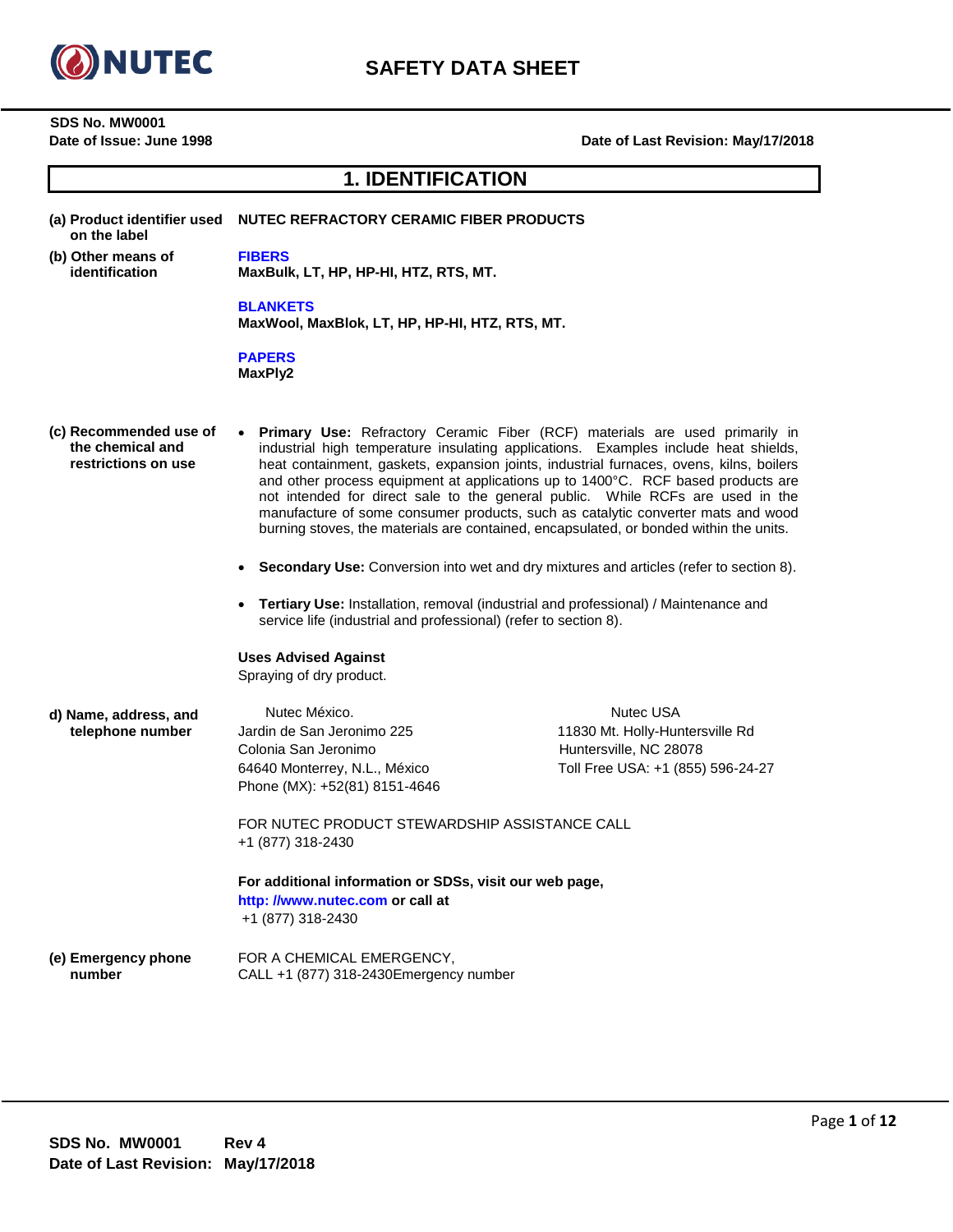

**SDS No. MW0001**

## **Date of Issue: June 1998 Date of Last Revision: May/17/2018**

# **1. IDENTIFICATION**

| on the label                                                      | (a) Product identifier used    NUTEC REFRACTORY CERAMIC FIBER PRODUCTS                                                                                                                                                                                                                                                                                                                                                                                                                                                                                                                                                                                                                                                                                                                             |                                                                                                             |
|-------------------------------------------------------------------|----------------------------------------------------------------------------------------------------------------------------------------------------------------------------------------------------------------------------------------------------------------------------------------------------------------------------------------------------------------------------------------------------------------------------------------------------------------------------------------------------------------------------------------------------------------------------------------------------------------------------------------------------------------------------------------------------------------------------------------------------------------------------------------------------|-------------------------------------------------------------------------------------------------------------|
| (b) Other means of<br>identification                              | <b>FIBERS</b><br>MaxBulk, LT, HP, HP-HI, HTZ, RTS, MT.                                                                                                                                                                                                                                                                                                                                                                                                                                                                                                                                                                                                                                                                                                                                             |                                                                                                             |
|                                                                   | <b>BLANKETS</b><br>MaxWool, MaxBlok, LT, HP, HP-HI, HTZ, RTS, MT.                                                                                                                                                                                                                                                                                                                                                                                                                                                                                                                                                                                                                                                                                                                                  |                                                                                                             |
|                                                                   | <b>PAPERS</b><br>MaxPly2                                                                                                                                                                                                                                                                                                                                                                                                                                                                                                                                                                                                                                                                                                                                                                           |                                                                                                             |
| (c) Recommended use of<br>the chemical and<br>restrictions on use | Primary Use: Refractory Ceramic Fiber (RCF) materials are used primarily in<br>industrial high temperature insulating applications. Examples include heat shields,<br>heat containment, gaskets, expansion joints, industrial furnaces, ovens, kilns, boilers<br>and other process equipment at applications up to 1400°C. RCF based products are<br>not intended for direct sale to the general public. While RCFs are used in the<br>manufacture of some consumer products, such as catalytic converter mats and wood<br>burning stoves, the materials are contained, encapsulated, or bonded within the units.<br>Secondary Use: Conversion into wet and dry mixtures and articles (refer to section 8).<br>Tertiary Use: Installation, removal (industrial and professional) / Maintenance and |                                                                                                             |
|                                                                   | service life (industrial and professional) (refer to section 8).                                                                                                                                                                                                                                                                                                                                                                                                                                                                                                                                                                                                                                                                                                                                   |                                                                                                             |
|                                                                   | <b>Uses Advised Against</b><br>Spraying of dry product.                                                                                                                                                                                                                                                                                                                                                                                                                                                                                                                                                                                                                                                                                                                                            |                                                                                                             |
| d) Name, address, and<br>telephone number                         | Nutec México.<br>Jardin de San Jeronimo 225<br>Colonia San Jeronimo<br>64640 Monterrey, N.L., México<br>Phone (MX): +52(81) 8151-4646                                                                                                                                                                                                                                                                                                                                                                                                                                                                                                                                                                                                                                                              | Nutec USA<br>11830 Mt. Holly-Huntersville Rd<br>Huntersville, NC 28078<br>Toll Free USA: +1 (855) 596-24-27 |
|                                                                   | FOR NUTEC PRODUCT STEWARDSHIP ASSISTANCE CALL<br>+1 (877) 318-2430                                                                                                                                                                                                                                                                                                                                                                                                                                                                                                                                                                                                                                                                                                                                 |                                                                                                             |
|                                                                   | For additional information or SDSs, visit our web page,<br>http: //www.nutec.com or call at<br>+1 (877) 318-2430                                                                                                                                                                                                                                                                                                                                                                                                                                                                                                                                                                                                                                                                                   |                                                                                                             |
| (e) Emergency phone<br>number                                     | FOR A CHEMICAL EMERGENCY,<br>CALL +1 (877) 318-2430 Emergency number                                                                                                                                                                                                                                                                                                                                                                                                                                                                                                                                                                                                                                                                                                                               |                                                                                                             |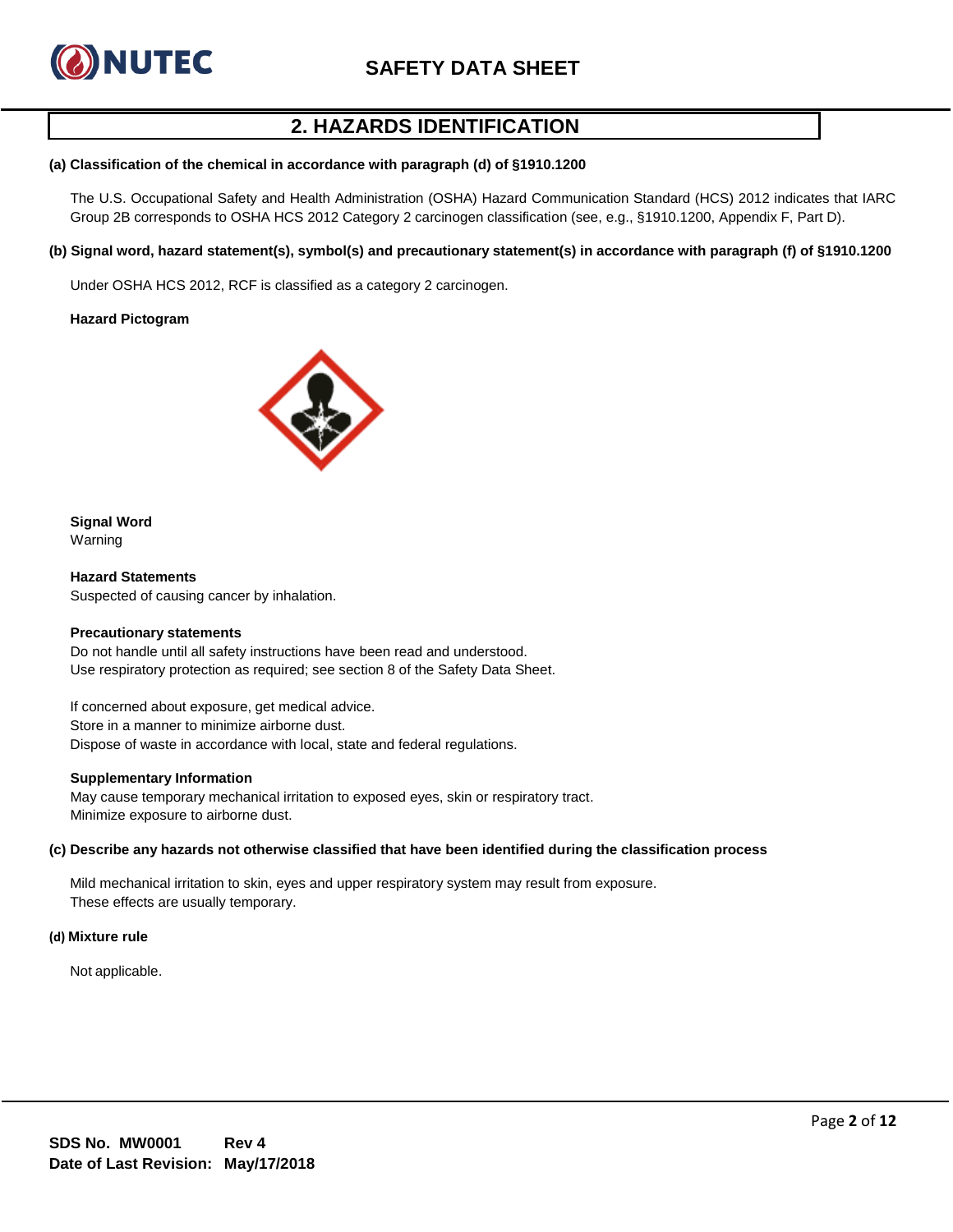

# **2. HAZARDS IDENTIFICATION**

#### **(a) Classification of the chemical in accordance with paragraph (d) of §1910.1200**

The U.S. Occupational Safety and Health Administration (OSHA) Hazard Communication Standard (HCS) 2012 indicates that IARC Group 2B corresponds to OSHA HCS 2012 Category 2 carcinogen classification (see, e.g., §1910.1200, Appendix F, Part D).

### **(b) Signal word, hazard statement(s), symbol(s) and precautionary statement(s) in accordance with paragraph (f) of §1910.1200**

Under OSHA HCS 2012, RCF is classified as a category 2 carcinogen.

#### **Hazard Pictogram**



## **Signal Word**

Warning

**Hazard Statements** Suspected of causing cancer by inhalation.

#### **Precautionary statements**

Do not handle until all safety instructions have been read and understood. Use respiratory protection as required; see section 8 of the Safety Data Sheet.

If concerned about exposure, get medical advice. Store in a manner to minimize airborne dust. Dispose of waste in accordance with local, state and federal regulations.

#### **Supplementary Information**

May cause temporary mechanical irritation to exposed eyes, skin or respiratory tract. Minimize exposure to airborne dust.

#### **(c) Describe any hazards not otherwise classified that have been identified during the classification process**

Mild mechanical irritation to skin, eyes and upper respiratory system may result from exposure. These effects are usually temporary.

#### **(d) Mixture rule**

Not applicable.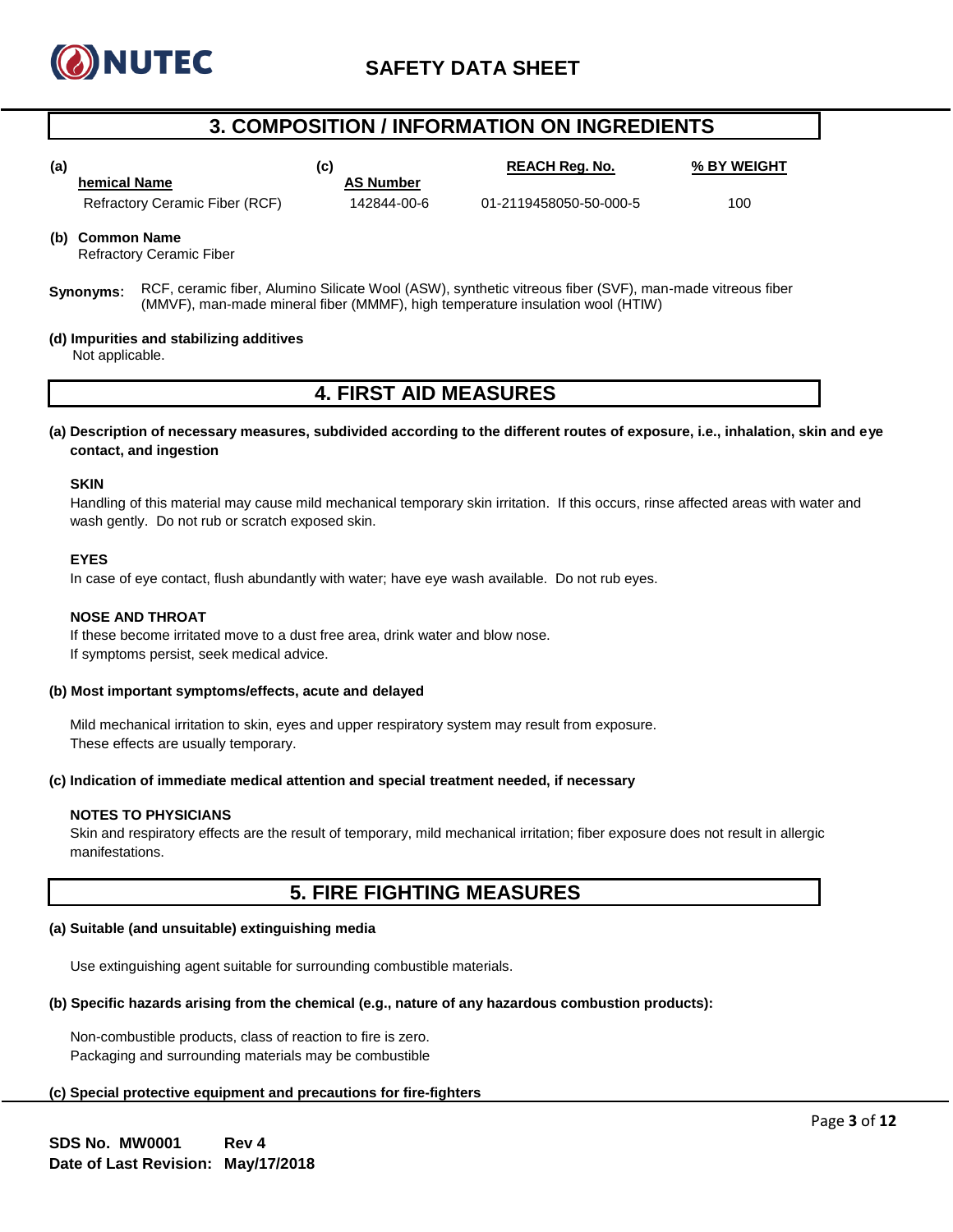

# **3. COMPOSITION / INFORMATION ON INGREDIENTS**

**(a) C (c) C REACH Reg. No. % BY WEIGHT hemical Name AS Number** Refractory Ceramic Fiber (RCF) 142844-00-6 01-2119458050-50-000-5 100

**(b) Common Name**

Refractory Ceramic Fiber

**Synonyms**: RCF, ceramic fiber, Alumino Silicate Wool (ASW), synthetic vitreous fiber (SVF), man-made vitreous fiber (MMVF), man-made mineral fiber (MMMF), high temperature insulation wool (HTIW)

#### **(d) Impurities and stabilizing additives**

Not applicable.

## **4. FIRST AID MEASURES**

**(a) Description of necessary measures, subdivided according to the different routes of exposure, i.e., inhalation, skin and eye contact, and ingestion**

#### **SKIN**

Handling of this material may cause mild mechanical temporary skin irritation. If this occurs, rinse affected areas with water and wash gently. Do not rub or scratch exposed skin.

### **EYES**

In case of eye contact, flush abundantly with water; have eye wash available. Do not rub eyes.

#### **NOSE AND THROAT**

If these become irritated move to a dust free area, drink water and blow nose. If symptoms persist, seek medical advice.

#### **(b) Most important symptoms/effects, acute and delayed**

Mild mechanical irritation to skin, eyes and upper respiratory system may result from exposure. These effects are usually temporary.

### **(c) Indication of immediate medical attention and special treatment needed, if necessary**

### **NOTES TO PHYSICIANS**

Skin and respiratory effects are the result of temporary, mild mechanical irritation; fiber exposure does not result in allergic manifestations.

# **5. FIRE FIGHTING MEASURES**

## **(a) Suitable (and unsuitable) extinguishing media**

Use extinguishing agent suitable for surrounding combustible materials.

## **(b) Specific hazards arising from the chemical (e.g., nature of any hazardous combustion products):**

Non-combustible products, class of reaction to fire is zero. Packaging and surrounding materials may be combustible

## **(c) Special protective equipment and precautions for fire-fighters**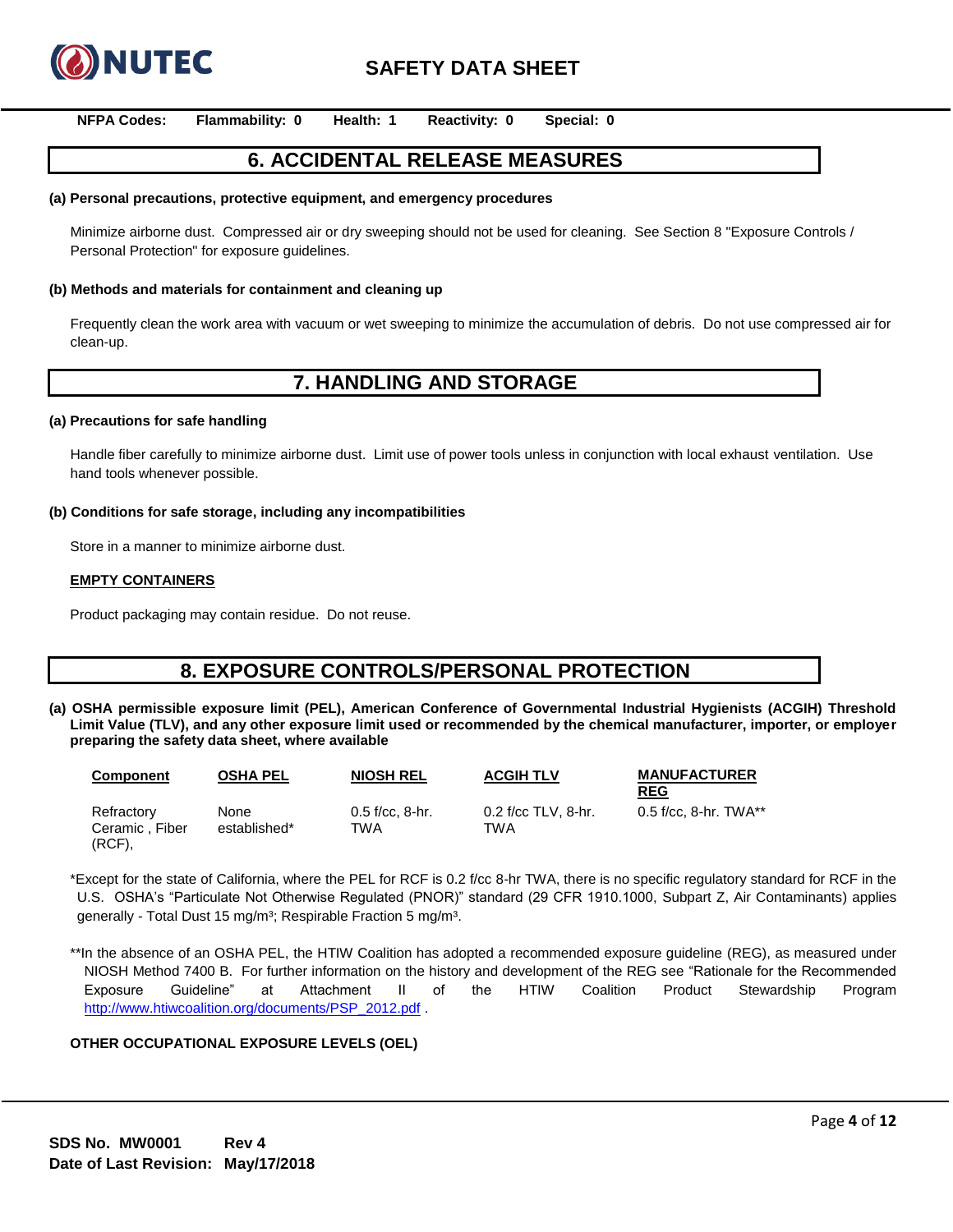

**NFPA Codes: Flammability: 0 Health: 1 Reactivity: 0 Special: 0**

# **6. ACCIDENTAL RELEASE MEASURES**

#### **(a) Personal precautions, protective equipment, and emergency procedures**

Minimize airborne dust. Compressed air or dry sweeping should not be used for cleaning. See Section 8 "Exposure Controls / Personal Protection" for exposure guidelines.

#### **(b) Methods and materials for containment and cleaning up**

Frequently clean the work area with vacuum or wet sweeping to minimize the accumulation of debris. Do not use compressed air for clean-up.

## **7. HANDLING AND STORAGE**

#### **(a) Precautions for safe handling**

Handle fiber carefully to minimize airborne dust. Limit use of power tools unless in conjunction with local exhaust ventilation. Use hand tools whenever possible.

#### **(b) Conditions for safe storage, including any incompatibilities**

Store in a manner to minimize airborne dust.

#### **EMPTY CONTAINERS**

Product packaging may contain residue. Do not reuse.

# **8. EXPOSURE CONTROLS/PERSONAL PROTECTION**

**(a) OSHA permissible exposure limit (PEL), American Conference of Governmental Industrial Hygienists (ACGIH) Threshold Limit Value (TLV), and any other exposure limit used or recommended by the chemical manufacturer, importer, or employer preparing the safety data sheet, where available**

| <b>Component</b>                          | OSHA PEL             | <b>NIOSH REL</b>         | <b>ACGIH TLV</b>           | <b>MANUFACTURER</b><br><b>REG</b> |
|-------------------------------------------|----------------------|--------------------------|----------------------------|-----------------------------------|
| Refractory<br>Ceramic, Fiber<br>$(RCF)$ , | None<br>established* | $0.5$ f/cc. 8-hr.<br>TWA | 0.2 f/cc TLV, 8-hr.<br>TWA | 0.5 f/cc, 8-hr. TWA**             |

\*Except for the state of California, where the PEL for RCF is 0.2 f/cc 8-hr TWA, there is no specific regulatory standard for RCF in the U.S. OSHA's "Particulate Not Otherwise Regulated (PNOR)" standard (29 CFR 1910.1000, Subpart Z, Air Contaminants) applies generally - Total Dust 15 mg/m<sup>3</sup>; Respirable Fraction 5 mg/m<sup>3</sup>.

\*\*In the absence of an OSHA PEL, the HTIW Coalition has adopted a recommended exposure guideline (REG), as measured under NIOSH Method 7400 B. For further information on the history and development of the REG see "Rationale for the Recommended Exposure Guideline" at Attachment II of the HTIW Coalition Product Stewardship Program [http://www.htiwcoalition.org/documents/PSP\\_2012.pdf](http://www.htiwcoalition.org/documents/PSP_2012.pdf).

#### **OTHER OCCUPATIONAL EXPOSURE LEVELS (OEL)**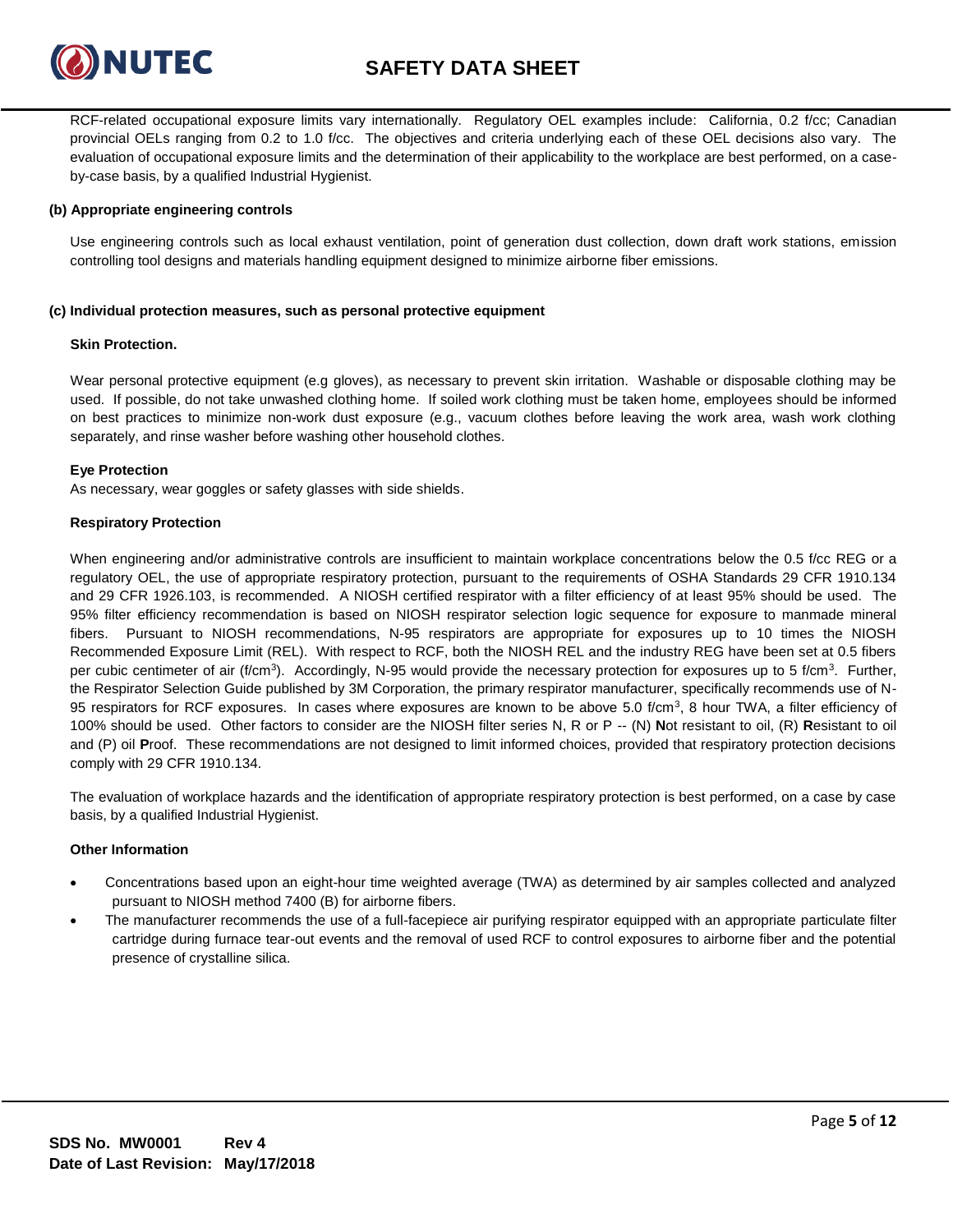

RCF-related occupational exposure limits vary internationally. Regulatory OEL examples include: California, 0.2 f/cc; Canadian provincial OELs ranging from 0.2 to 1.0 f/cc. The objectives and criteria underlying each of these OEL decisions also vary. The evaluation of occupational exposure limits and the determination of their applicability to the workplace are best performed, on a caseby-case basis, by a qualified Industrial Hygienist.

## **(b) Appropriate engineering controls**

Use engineering controls such as local exhaust ventilation, point of generation dust collection, down draft work stations, emission controlling tool designs and materials handling equipment designed to minimize airborne fiber emissions.

### **(c) Individual protection measures, such as personal protective equipment**

### **Skin Protection.**

Wear personal protective equipment (e.g gloves), as necessary to prevent skin irritation. Washable or disposable clothing may be used. If possible, do not take unwashed clothing home. If soiled work clothing must be taken home, employees should be informed on best practices to minimize non-work dust exposure (e.g., vacuum clothes before leaving the work area, wash work clothing separately, and rinse washer before washing other household clothes.

### **Eye Protection**

As necessary, wear goggles or safety glasses with side shields.

### **Respiratory Protection**

When engineering and/or administrative controls are insufficient to maintain workplace concentrations below the 0.5 f/cc REG or a regulatory OEL, the use of appropriate respiratory protection, pursuant to the requirements of OSHA Standards 29 CFR 1910.134 and 29 CFR 1926.103, is recommended. A NIOSH certified respirator with a filter efficiency of at least 95% should be used. The 95% filter efficiency recommendation is based on NIOSH respirator selection logic sequence for exposure to manmade mineral fibers. Pursuant to NIOSH recommendations, N-95 respirators are appropriate for exposures up to 10 times the NIOSH Recommended Exposure Limit (REL). With respect to RCF, both the NIOSH REL and the industry REG have been set at 0.5 fibers per cubic centimeter of air (f/cm<sup>3</sup>). Accordingly, N-95 would provide the necessary protection for exposures up to 5 f/cm<sup>3</sup>. Further, the Respirator Selection Guide published by 3M Corporation, the primary respirator manufacturer, specifically recommends use of N-95 respirators for RCF exposures. In cases where exposures are known to be above 5.0 f/cm<sup>3</sup>, 8 hour TWA, a filter efficiency of 100% should be used. Other factors to consider are the NIOSH filter series N, R or P -- (N) **N**ot resistant to oil, (R) **R**esistant to oil and (P) oil **P**roof. These recommendations are not designed to limit informed choices, provided that respiratory protection decisions comply with 29 CFR 1910.134.

The evaluation of workplace hazards and the identification of appropriate respiratory protection is best performed, on a case by case basis, by a qualified Industrial Hygienist.

### **Other Information**

- Concentrations based upon an eight-hour time weighted average (TWA) as determined by air samples collected and analyzed pursuant to NIOSH method 7400 (B) for airborne fibers.
- The manufacturer recommends the use of a full-facepiece air purifying respirator equipped with an appropriate particulate filter cartridge during furnace tear-out events and the removal of used RCF to control exposures to airborne fiber and the potential presence of crystalline silica.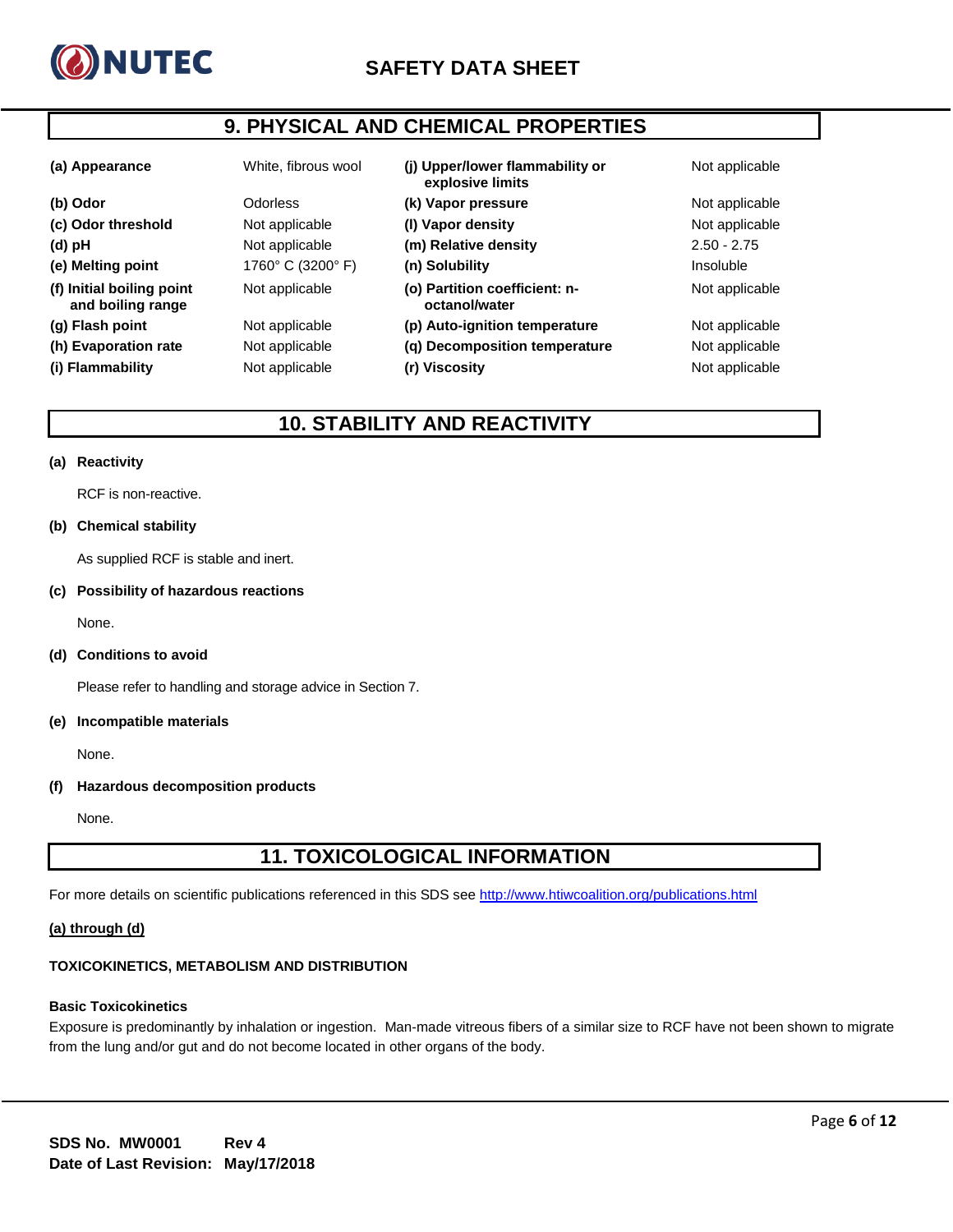

# **9. PHYSICAL AND CHEMICAL PROPERTIES**

| (a) Appearance                                 | White, fibrous wool | (i) Upper/lower flammability or<br>explosive limits | Not applicable |
|------------------------------------------------|---------------------|-----------------------------------------------------|----------------|
| (b) Odor                                       | Odorless            | (k) Vapor pressure                                  | Not applicable |
| (c) Odor threshold                             | Not applicable      | (I) Vapor density                                   | Not applicable |
| (d) pH                                         | Not applicable      | (m) Relative density                                | $2.50 - 2.75$  |
| (e) Melting point                              | 1760° C (3200° F)   | (n) Solubility                                      | Insoluble      |
| (f) Initial boiling point<br>and boiling range | Not applicable      | (o) Partition coefficient: n-<br>octanol/water      | Not applicable |
| (g) Flash point                                | Not applicable      | (p) Auto-ignition temperature                       | Not applicable |
| (h) Evaporation rate                           | Not applicable      | (g) Decomposition temperature                       | Not applicable |
| (i) Flammability                               | Not applicable      | (r) Viscosity                                       | Not applicable |

# **10. STABILITY AND REACTIVITY**

### **(a) Reactivity**

RCF is non-reactive.

### **(b) Chemical stability**

As supplied RCF is stable and inert.

### **(c) Possibility of hazardous reactions**

None.

### **(d) Conditions to avoid**

Please refer to handling and storage advice in Section 7.

#### **(e) Incompatible materials**

None.

## **(f) Hazardous decomposition products**

None.

# **11. TOXICOLOGICAL INFORMATION**

For more details on scientific publications referenced in this SDS see<http://www.htiwcoalition.org/publications.html>

## **(a) through (d)**

### **TOXICOKINETICS, METABOLISM AND DISTRIBUTION**

#### **Basic Toxicokinetics**

Exposure is predominantly by inhalation or ingestion. Man-made vitreous fibers of a similar size to RCF have not been shown to migrate from the lung and/or gut and do not become located in other organs of the body.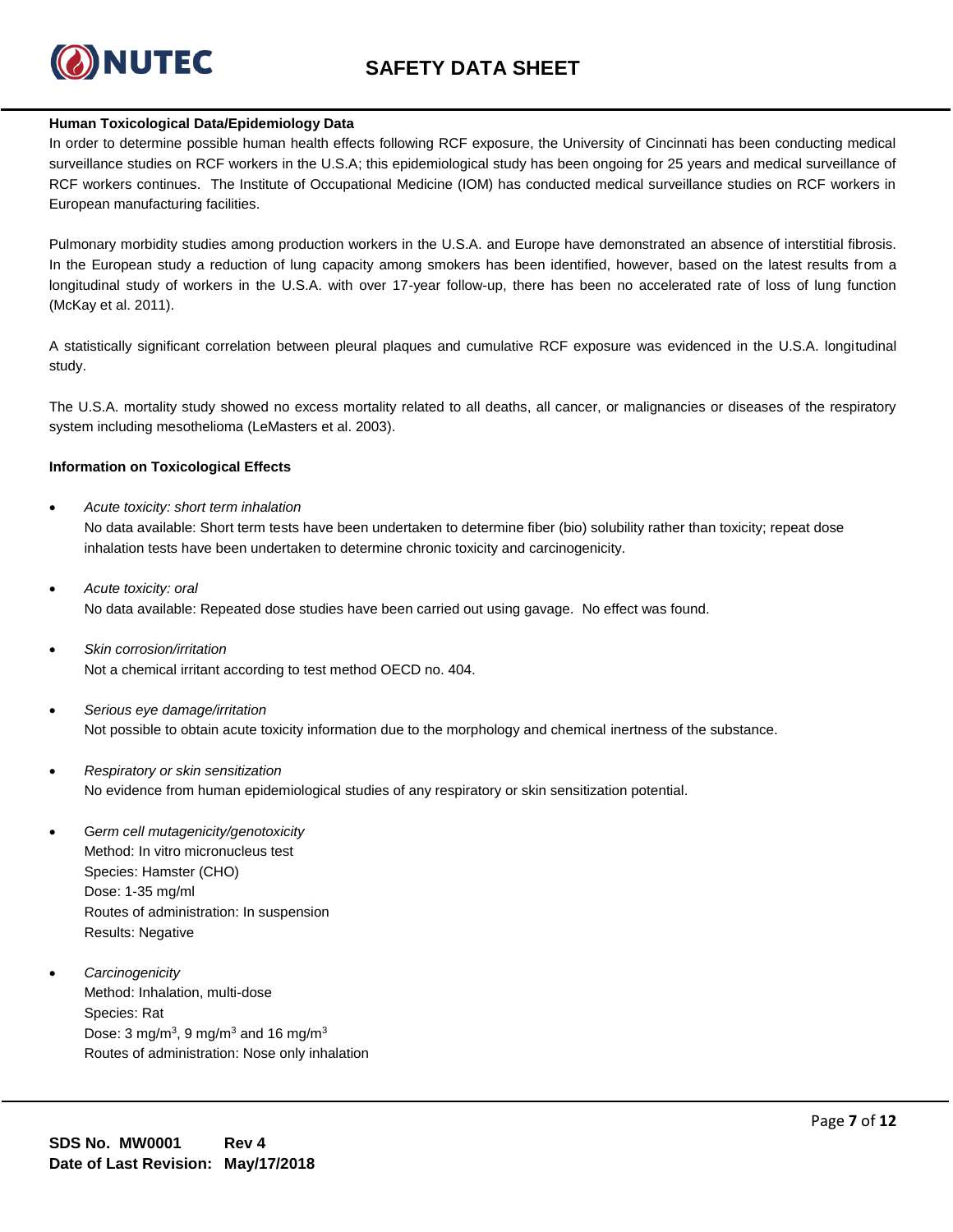

## **Human Toxicological Data/Epidemiology Data**

In order to determine possible human health effects following RCF exposure, the University of Cincinnati has been conducting medical surveillance studies on RCF workers in the U.S.A; this epidemiological study has been ongoing for 25 years and medical surveillance of RCF workers continues. The Institute of Occupational Medicine (IOM) has conducted medical surveillance studies on RCF workers in European manufacturing facilities.

Pulmonary morbidity studies among production workers in the U.S.A. and Europe have demonstrated an absence of interstitial fibrosis. In the European study a reduction of lung capacity among smokers has been identified, however, based on the latest results from a longitudinal study of workers in the U.S.A. with over 17-year follow-up, there has been no accelerated rate of loss of lung function (McKay et al. 2011).

A statistically significant correlation between pleural plaques and cumulative RCF exposure was evidenced in the U.S.A. longitudinal study.

The U.S.A. mortality study showed no excess mortality related to all deaths, all cancer, or malignancies or diseases of the respiratory system including mesothelioma (LeMasters et al. 2003).

### **Information on Toxicological Effects**

• *Acute toxicity: short term inhalation*

No data available: Short term tests have been undertaken to determine fiber (bio) solubility rather than toxicity; repeat dose inhalation tests have been undertaken to determine chronic toxicity and carcinogenicity.

- *Acute toxicity: oral* No data available: Repeated dose studies have been carried out using gavage. No effect was found.
- *Skin corrosion/irritation* Not a chemical irritant according to test method OECD no. 404.
- *Serious eye damage/irritation* Not possible to obtain acute toxicity information due to the morphology and chemical inertness of the substance.
- *Respiratory or skin sensitization* No evidence from human epidemiological studies of any respiratory or skin sensitization potential.
- G*erm cell mutagenicity/genotoxicity* Method: In vitro micronucleus test Species: Hamster (CHO) Dose: 1-35 mg/ml Routes of administration: In suspension Results: Negative
- *Carcinogenicity* Method: Inhalation, multi-dose Species: Rat Dose: 3 mg/m<sup>3</sup>, 9 mg/m<sup>3</sup> and 16 mg/m<sup>3</sup> Routes of administration: Nose only inhalation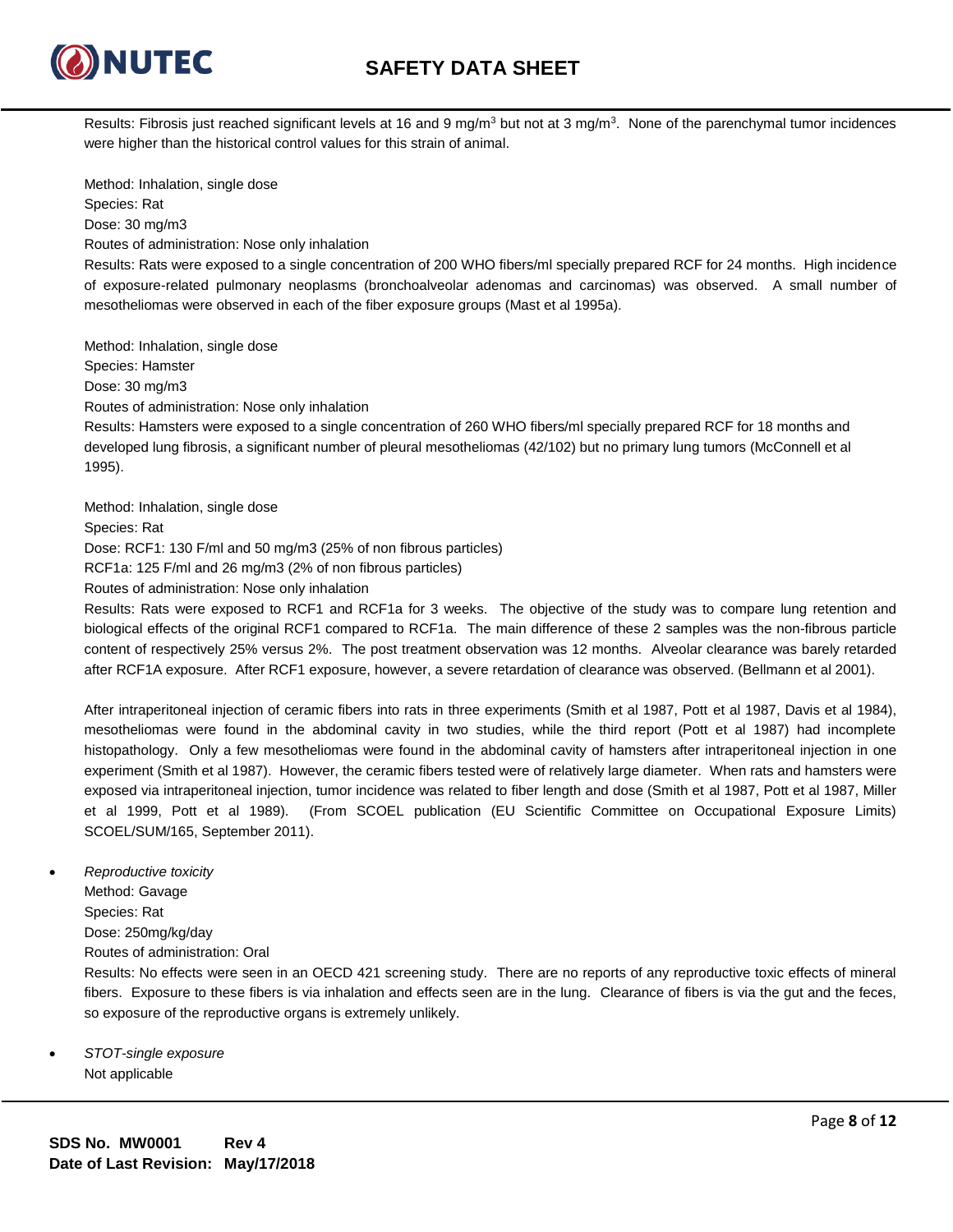

**NUTEC** 

Results: Fibrosis just reached significant levels at 16 and 9 mg/m<sup>3</sup> but not at 3 mg/m<sup>3</sup>. None of the parenchymal tumor incidences were higher than the historical control values for this strain of animal.

Method: Inhalation, single dose Species: Rat Dose: 30 mg/m3 Routes of administration: Nose only inhalation

Results: Rats were exposed to a single concentration of 200 WHO fibers/ml specially prepared RCF for 24 months. High incidence of exposure-related pulmonary neoplasms (bronchoalveolar adenomas and carcinomas) was observed. A small number of mesotheliomas were observed in each of the fiber exposure groups (Mast et al 1995a).

Method: Inhalation, single dose Species: Hamster Dose: 30 mg/m3 Routes of administration: Nose only inhalation Results: Hamsters were exposed to a single concentration of 260 WHO fibers/ml specially prepared RCF for 18 months and developed lung fibrosis, a significant number of pleural mesotheliomas (42/102) but no primary lung tumors (McConnell et al 1995). Method: Inhalation, single dose

Species: Rat

Dose: RCF1: 130 F/ml and 50 mg/m3 (25% of non fibrous particles)

RCF1a: 125 F/ml and 26 mg/m3 (2% of non fibrous particles)

Routes of administration: Nose only inhalation

Results: Rats were exposed to RCF1 and RCF1a for 3 weeks. The objective of the study was to compare lung retention and biological effects of the original RCF1 compared to RCF1a. The main difference of these 2 samples was the non-fibrous particle content of respectively 25% versus 2%. The post treatment observation was 12 months. Alveolar clearance was barely retarded after RCF1A exposure. After RCF1 exposure, however, a severe retardation of clearance was observed. (Bellmann et al 2001).

After intraperitoneal injection of ceramic fibers into rats in three experiments (Smith et al 1987, Pott et al 1987, Davis et al 1984), mesotheliomas were found in the abdominal cavity in two studies, while the third report (Pott et al 1987) had incomplete histopathology. Only a few mesotheliomas were found in the abdominal cavity of hamsters after intraperitoneal injection in one experiment (Smith et al 1987). However, the ceramic fibers tested were of relatively large diameter. When rats and hamsters were exposed via intraperitoneal injection, tumor incidence was related to fiber length and dose (Smith et al 1987, Pott et al 1987, Miller et al 1999, Pott et al 1989). (From SCOEL publication (EU Scientific Committee on Occupational Exposure Limits) SCOEL/SUM/165, September 2011).

• *Reproductive toxicity*

Method: Gavage

Species: Rat

Dose: 250mg/kg/day

Routes of administration: Oral

Results: No effects were seen in an OECD 421 screening study. There are no reports of any reproductive toxic effects of mineral fibers. Exposure to these fibers is via inhalation and effects seen are in the lung. Clearance of fibers is via the gut and the feces, so exposure of the reproductive organs is extremely unlikely.

• *STOT-single exposure* Not applicable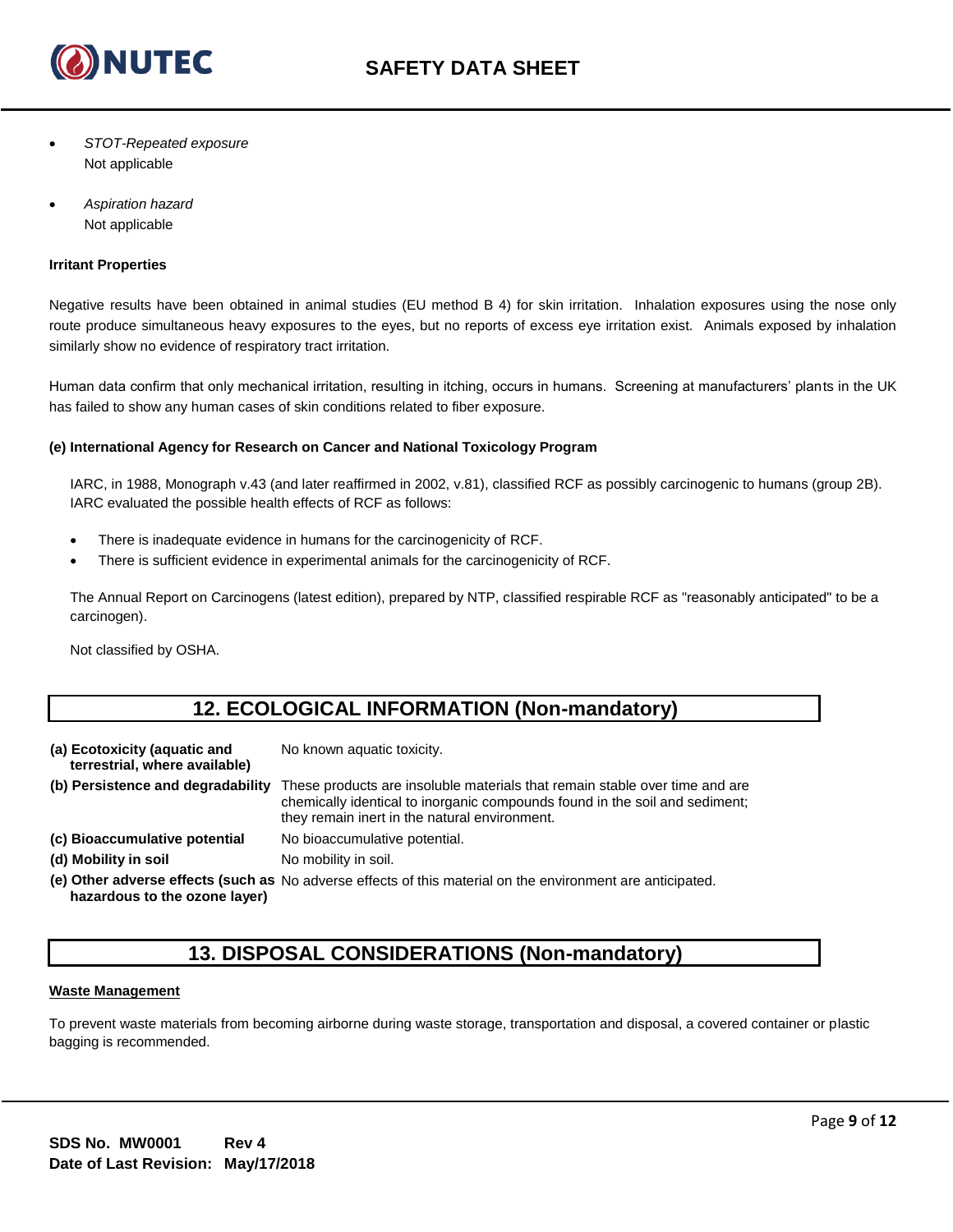

- *STOT-Repeated exposure* Not applicable
- *Aspiration hazard*  Not applicable

## **Irritant Properties**

Negative results have been obtained in animal studies (EU method B 4) for skin irritation. Inhalation exposures using the nose only route produce simultaneous heavy exposures to the eyes, but no reports of excess eye irritation exist. Animals exposed by inhalation similarly show no evidence of respiratory tract irritation.

Human data confirm that only mechanical irritation, resulting in itching, occurs in humans. Screening at manufacturers' plants in the UK has failed to show any human cases of skin conditions related to fiber exposure.

## **(e) International Agency for Research on Cancer and National Toxicology Program**

IARC, in 1988, Monograph v.43 (and later reaffirmed in 2002, v.81), classified RCF as possibly carcinogenic to humans (group 2B). IARC evaluated the possible health effects of RCF as follows:

- There is inadequate evidence in humans for the carcinogenicity of RCF.
- There is sufficient evidence in experimental animals for the carcinogenicity of RCF.

The Annual Report on Carcinogens (latest edition), prepared by NTP, classified respirable RCF as "reasonably anticipated" to be a carcinogen).

Not classified by OSHA.

# **12. ECOLOGICAL INFORMATION (Non-mandatory)**

| (a) Ecotoxicity (aquatic and<br>terrestrial, where available) | No known aquatic toxicity.                                                                                                                                                                                  |
|---------------------------------------------------------------|-------------------------------------------------------------------------------------------------------------------------------------------------------------------------------------------------------------|
| (b) Persistence and degradability                             | These products are insoluble materials that remain stable over time and are<br>chemically identical to inorganic compounds found in the soil and sediment;<br>they remain inert in the natural environment. |
| (c) Bioaccumulative potential                                 | No bioaccumulative potential.                                                                                                                                                                               |
| (d) Mobility in soil                                          | No mobility in soil.                                                                                                                                                                                        |
|                                                               | (e) Other adverse effects (such as No adverse effects of this material on the environment are anticipated.                                                                                                  |

**hazardous to the ozone layer)**

# **13. DISPOSAL CONSIDERATIONS (Non-mandatory)**

### **Waste Management**

To prevent waste materials from becoming airborne during waste storage, transportation and disposal, a covered container or plastic bagging is recommended.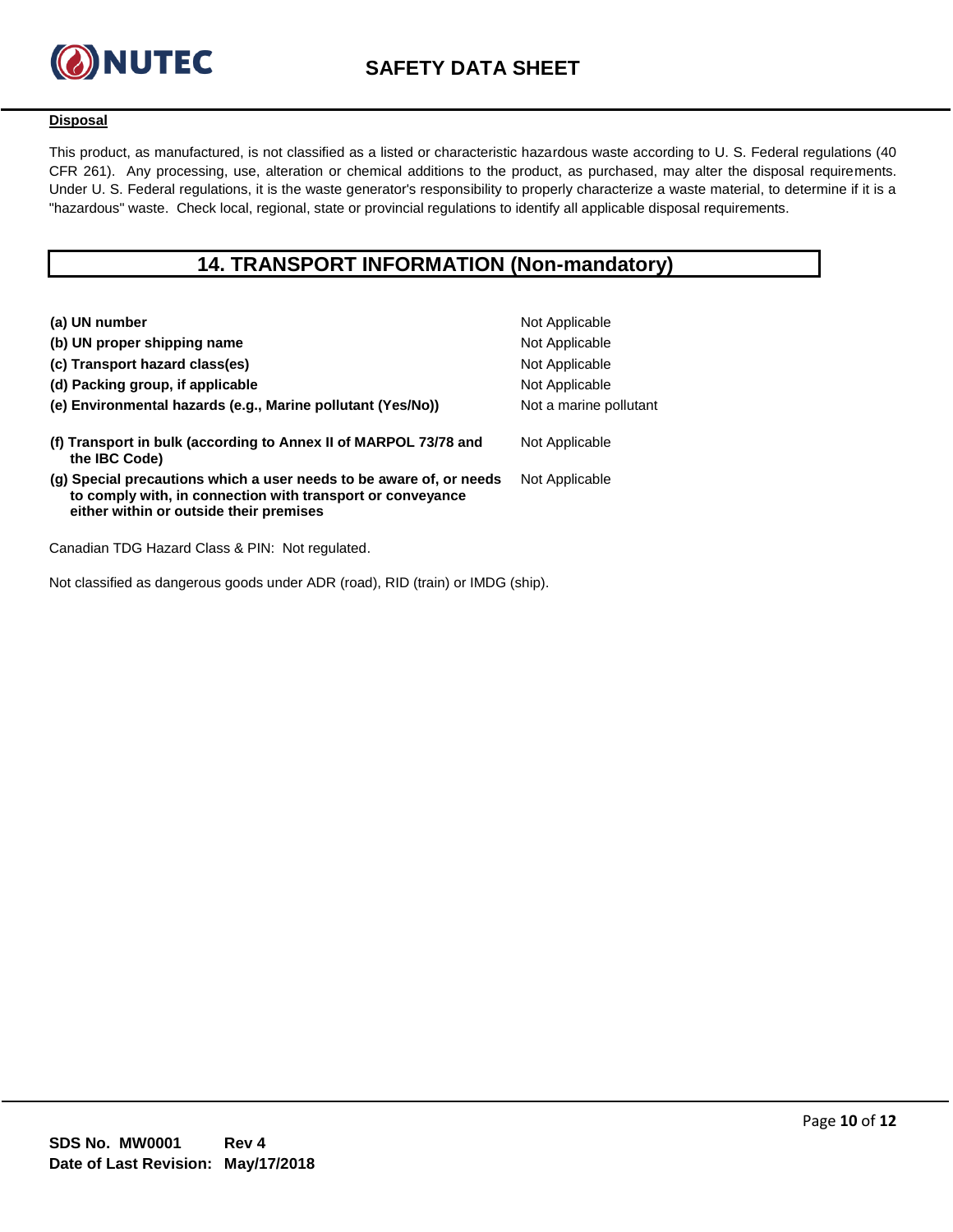

## **Disposal**

This product, as manufactured, is not classified as a listed or characteristic hazardous waste according to U. S. Federal regulations (40 CFR 261). Any processing, use, alteration or chemical additions to the product, as purchased, may alter the disposal requirements. Under U. S. Federal regulations, it is the waste generator's responsibility to properly characterize a waste material, to determine if it is a "hazardous" waste. Check local, regional, state or provincial regulations to identify all applicable disposal requirements.

# **14. TRANSPORT INFORMATION (Non-mandatory)**

| (a) UN number                                                                                                                                                                | Not Applicable         |
|------------------------------------------------------------------------------------------------------------------------------------------------------------------------------|------------------------|
| (b) UN proper shipping name                                                                                                                                                  | Not Applicable         |
| (c) Transport hazard class(es)                                                                                                                                               | Not Applicable         |
| (d) Packing group, if applicable                                                                                                                                             | Not Applicable         |
| (e) Environmental hazards (e.g., Marine pollutant (Yes/No))                                                                                                                  | Not a marine pollutant |
| (f) Transport in bulk (according to Annex II of MARPOL 73/78 and<br>the IBC Code)                                                                                            | Not Applicable         |
| (g) Special precautions which a user needs to be aware of, or needs<br>to comply with, in connection with transport or conveyance<br>either within or outside their premises | Not Applicable         |
|                                                                                                                                                                              |                        |

Canadian TDG Hazard Class & PIN: Not regulated.

Not classified as dangerous goods under ADR (road), RID (train) or IMDG (ship).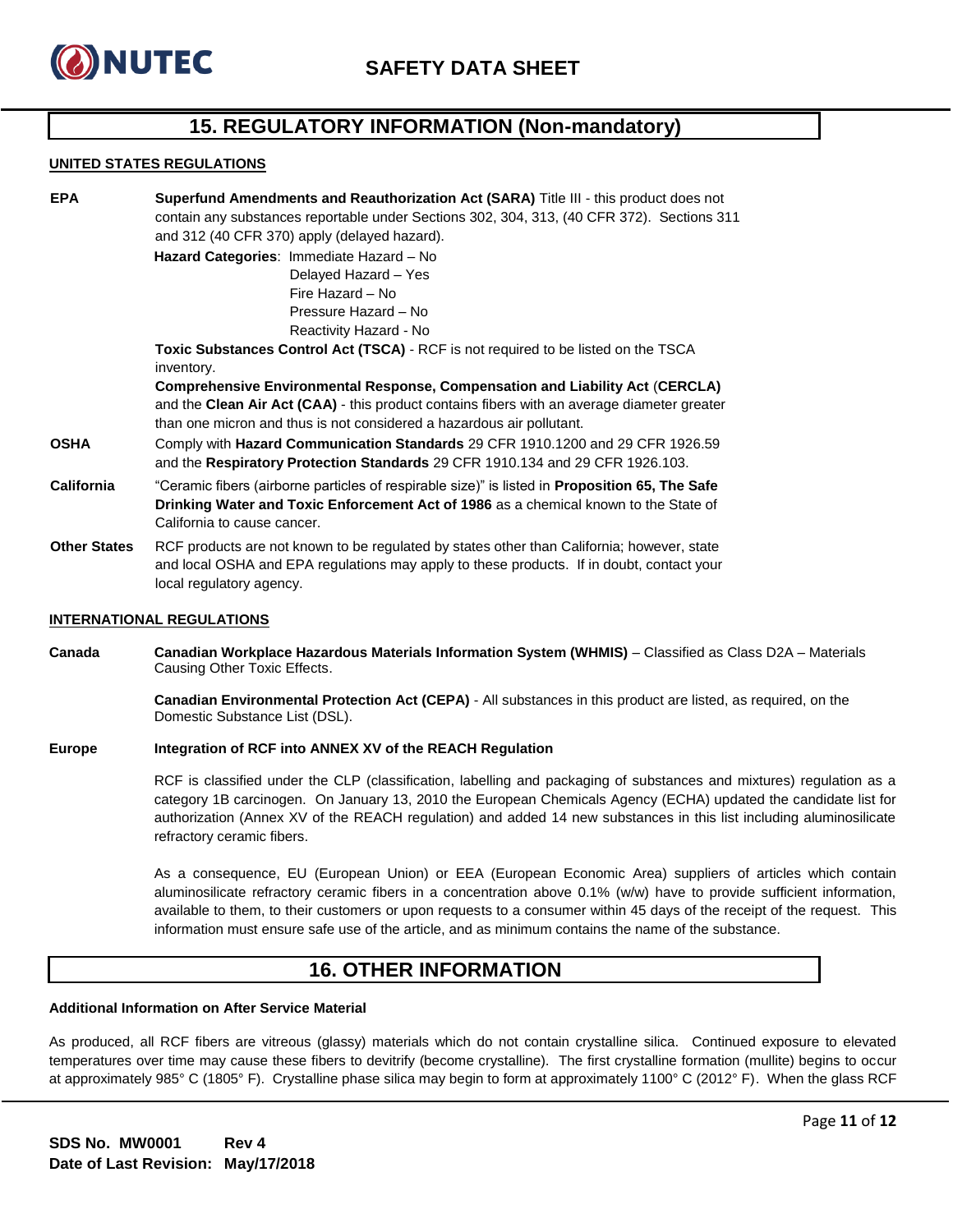

# **15. REGULATORY INFORMATION (Non-mandatory)**

#### **UNITED STATES REGULATIONS**

| <b>EPA</b>          | Superfund Amendments and Reauthorization Act (SARA) Title III - this product does not                 |  |  |
|---------------------|-------------------------------------------------------------------------------------------------------|--|--|
|                     | contain any substances reportable under Sections 302, 304, 313, (40 CFR 372). Sections 311            |  |  |
|                     | and 312 (40 CFR 370) apply (delayed hazard).                                                          |  |  |
|                     | Hazard Categories: Immediate Hazard - No                                                              |  |  |
|                     | Delayed Hazard - Yes                                                                                  |  |  |
|                     | Fire Hazard - No                                                                                      |  |  |
|                     | Pressure Hazard - No                                                                                  |  |  |
|                     | Reactivity Hazard - No                                                                                |  |  |
|                     | Toxic Substances Control Act (TSCA) - RCF is not required to be listed on the TSCA                    |  |  |
|                     | inventory.                                                                                            |  |  |
|                     | Comprehensive Environmental Response, Compensation and Liability Act (CERCLA)                         |  |  |
|                     | and the Clean Air Act (CAA) - this product contains fibers with an average diameter greater           |  |  |
|                     | than one micron and thus is not considered a hazardous air pollutant.                                 |  |  |
| <b>OSHA</b>         | Comply with <b>Hazard Communication Standards</b> 29 CFR 1910.1200 and 29 CFR 1926.59                 |  |  |
|                     | and the Respiratory Protection Standards 29 CFR 1910.134 and 29 CFR 1926.103.                         |  |  |
| <b>California</b>   | "Ceramic fibers (airborne particles of respirable size)" is listed in <b>Proposition 65, The Safe</b> |  |  |
|                     | Drinking Water and Toxic Enforcement Act of 1986 as a chemical known to the State of                  |  |  |
|                     | California to cause cancer.                                                                           |  |  |
| <b>Other States</b> | RCF products are not known to be regulated by states other than California; however, state            |  |  |

and local OSHA and EPA regulations may apply to these products. If in doubt, contact your local regulatory agency.

### **INTERNATIONAL REGULATIONS**

**Canada Canadian Workplace Hazardous Materials Information System (WHMIS)** – Classified as Class D2A – Materials Causing Other Toxic Effects.

> **Canadian Environmental Protection Act (CEPA)** - All substances in this product are listed, as required, on the Domestic Substance List (DSL).

#### **Europe Integration of RCF into ANNEX XV of the REACH Regulation**

RCF is classified under the CLP (classification, labelling and packaging of substances and mixtures) regulation as a category 1B carcinogen. On January 13, 2010 the European Chemicals Agency (ECHA) updated the candidate list for authorization (Annex XV of the REACH regulation) and added 14 new substances in this list including aluminosilicate refractory ceramic fibers.

As a consequence, EU (European Union) or EEA (European Economic Area) suppliers of articles which contain aluminosilicate refractory ceramic fibers in a concentration above 0.1% (w/w) have to provide sufficient information, available to them, to their customers or upon requests to a consumer within 45 days of the receipt of the request. This information must ensure safe use of the article, and as minimum contains the name of the substance.

# **16. OTHER INFORMATION**

#### **Additional Information on After Service Material**

As produced, all RCF fibers are vitreous (glassy) materials which do not contain crystalline silica. Continued exposure to elevated temperatures over time may cause these fibers to devitrify (become crystalline). The first crystalline formation (mullite) begins to occur at approximately 985° C (1805° F). Crystalline phase silica may begin to form at approximately 1100° C (2012° F). When the glass RCF